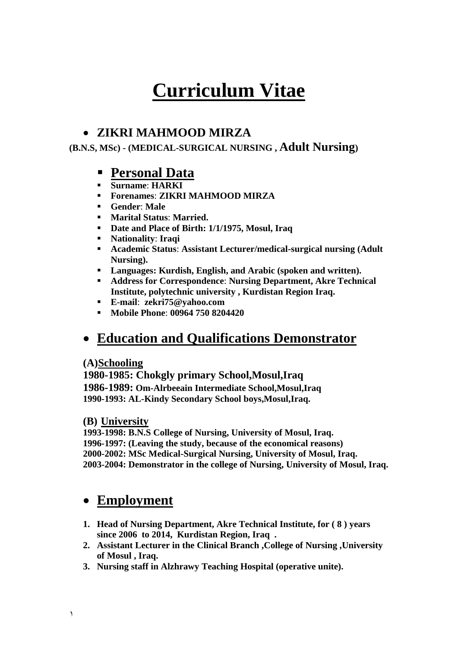# **Curriculum Vitae**

## **ZIKRI MAHMOOD MIRZA**

**(B.N.S, MSc) - (MEDICAL-SURGICAL NURSING , Adult Nursing)**

## **Personal Data**

- **Surname**: **HARKI**
- **Forenames**: **ZIKRI MAHMOOD MIRZA**
- **Gender**: **Male**
- **Marital Status**: **Married.**
- **Date and Place of Birth: 1/1/1975, Mosul, Iraq**
- **Nationality**: **Iraqi**
- **Academic Status**: **Assistant Lecturer/medical-surgical nursing (Adult Nursing).**
- **Languages: Kurdish, English, and Arabic (spoken and written).**
- **Address for Correspondence**: **Nursing Department, Akre Technical Institute, polytechnic university , Kurdistan Region Iraq.**
- **E-mail**: **zekri75@yahoo.com**
- **Mobile Phone**: **00964 750 8204420**

## **Education and Qualifications Demonstrator**

#### **(A)Schooling**

**1980-1985: Chokgly primary School,Mosul,Iraq 1986-1989: Om-Alrbeeain Intermediate School,Mosul,Iraq 1990-1993: AL-Kindy Secondary School boys,Mosul,Iraq.**

#### **(B) University**

**1993-1998: B.N.S College of Nursing, University of Mosul, Iraq. 1996-1997: (Leaving the study, because of the economical reasons) 2000-2002: MSc Medical-Surgical Nursing, University of Mosul, Iraq. 2003-2004: Demonstrator in the college of Nursing, University of Mosul, Iraq.**

## **Employment**

- **1. Head of Nursing Department, Akre Technical Institute, for ( 8 ) years since 2006 to 2014, Kurdistan Region, Iraq .**
- **2. Assistant Lecturer in the Clinical Branch ,College of Nursing ,University of Mosul , Iraq.**
- **3. Nursing staff in Alzhrawy Teaching Hospital (operative unite).**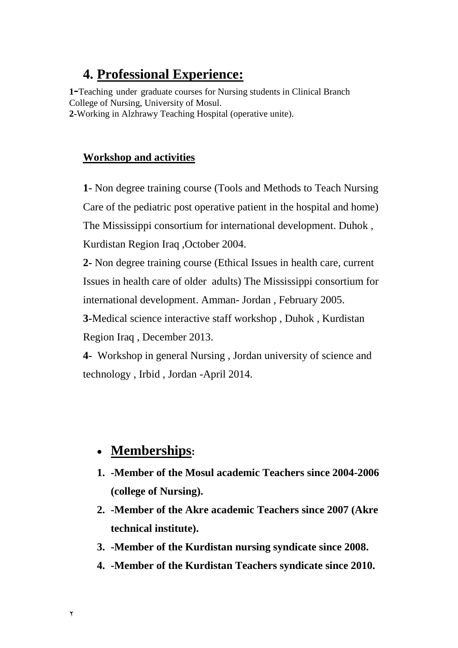## **4. Professional Experience:**

**<sup>1</sup>-**Teaching under graduate courses for Nursing students in Clinical Branch College of Nursing, University of Mosul. **2-**Working in Alzhrawy Teaching Hospital (operative unite).

## **Workshop and activities**

**1-** Non degree training course (Tools and Methods to Teach Nursing Care of the pediatric post operative patient in the hospital and home) The Mississippi consortium for international development. Duhok , Kurdistan Region Iraq ,October 2004.

**2-** Non degree training course (Ethical Issues in health care, current Issues in health care of older adults) The Mississippi consortium for international development. Amman- Jordan , February 2005.

**3-**Medical science interactive staff workshop , Duhok , Kurdistan Region Iraq , December 2013.

**4-** Workshop in general Nursing , Jordan university of science and technology , Irbid , Jordan -April 2014.

## **Memberships:**

- **1. -Member of the Mosul academic Teachers since 2004-2006 (college of Nursing).**
- **2. -Member of the Akre academic Teachers since 2007 (Akre technical institute).**
- **3. -Member of the Kurdistan nursing syndicate since 2008.**
- **4. -Member of the Kurdistan Teachers syndicate since 2010.**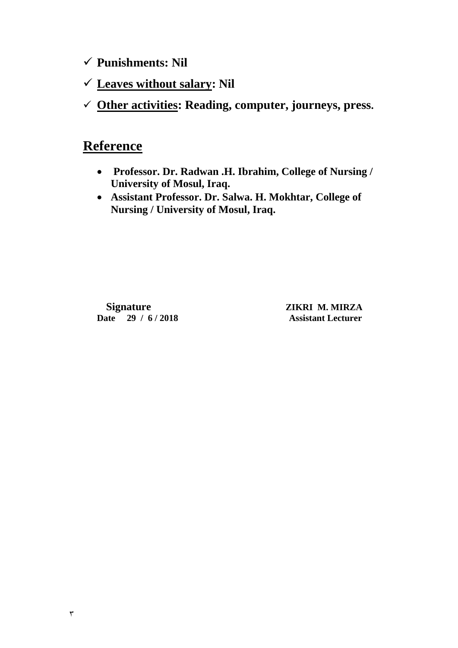**Punishments: Nil**

- **Leaves without salary: Nil**
- **Other activities: Reading, computer, journeys, press.**

## **Reference**

- **Professor. Dr. Radwan .H. Ibrahim, College of Nursing / University of Mosul, Iraq.**
- **Assistant Professor. Dr. Salwa. H. Mokhtar, College of Nursing / University of Mosul, Iraq.**

 **Date 29 / 6 / 2018 Assistant Lecturer**

 **Signature ZIKRI M. MIRZA**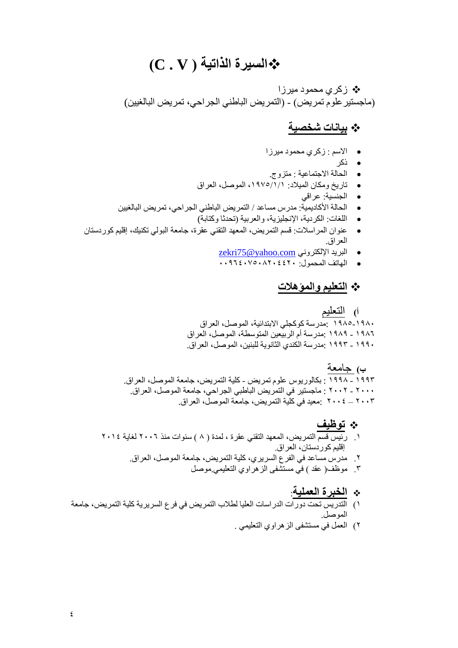# **)C . V ( الذاتيت السيزة**

\* زکری محمود میرزا (ماجستير علوم تمريض) - (التمريض الباطني الجراحي، تمريض البالغيين)

#### **بياناث شخصيت**

- **.** الاسم : زكري محمود ميرزا
	- ه ذکر
- اىحبىخ االجزَبعُخ : ٍزضوج.
- ربسَخ وٍنبُ اىَُالد: ,1795/1/1 اىَىصو, اىعشاق
	- **•** الجنسية: عراقي
- الْحالة الأكاديمية: مدرس مساعد / النَمريض الباطني الجراحي، تمريض البالغيين
	- اللغات: الكردية، الإنجليزية، والعربية (تحدثًا وكتابة)
- عنوان المراسلات: قسم التَمريض، المعهد التقني عقرة، جامعة البولي تكنيك، إقليم كوردستان العراق.
	- zekri $75@yahoo.com$  البريد الإلكتروني
	- الهاتف المحمول: ١٤٤٢٠٨٢٠٤٤٠٧٥٠٨٢٠٤٠

## **التعليم والمؤهالث**

أ) التعليم

19۸۰-۱۹۸۰ ٍ:مدرسة كوكجلي الابتدائية، الموصل، العراق 19۸٦ - 19۸۹ :مدر سهّ أم الر بيعين المتوسطة، الموصل، العر اق 191۰ ـ ١٩٩٣: مدرسة الكندي الثّانوية للبنين، الموصل، العراق.

**ب(** جبٍعخ

١٩٩٢ <sub>-</sub> 199۸ : بكالوريوس علوم تمريض - كلية التمريض، جامعة الموصل، العراق<sub>.</sub> ٢٠٠٢ - ٢٠٠٢ : ماجستير في التَمريض الباطبي الجراحي، جامعة الموصل، العراق. 1005 – 2008 بمعيد في كلية التمريض، جامعة الموصل، العراق.

- **توظيف**
- ١ \_ رَئِيس قَسم التَمريض، المعهد التقني عقرة ، لمدة ( ٨ ) سنوات منذ ٢٠٠٦ لغاية ٢٠١٤ إقليم كوردستان، العراق
	- ٢ ٍ مدرس مساعد في الفرع السريري، كلية التمريض، جامعة الموصل، العراق.
		- ٣ ٍ موظف( عقد ) في مستشفى الزهراوي التعليمي موصل
			- **الخبزة العمليت**:
- 1) التَّذريس تحت دورات الدراسات العليا لطلاب التمريض في فرع السريرية كلية التمريض، جامعة الىموصل.
	- ٢) العَمل في مستشفى الز هر اوى التعلي*مي* .